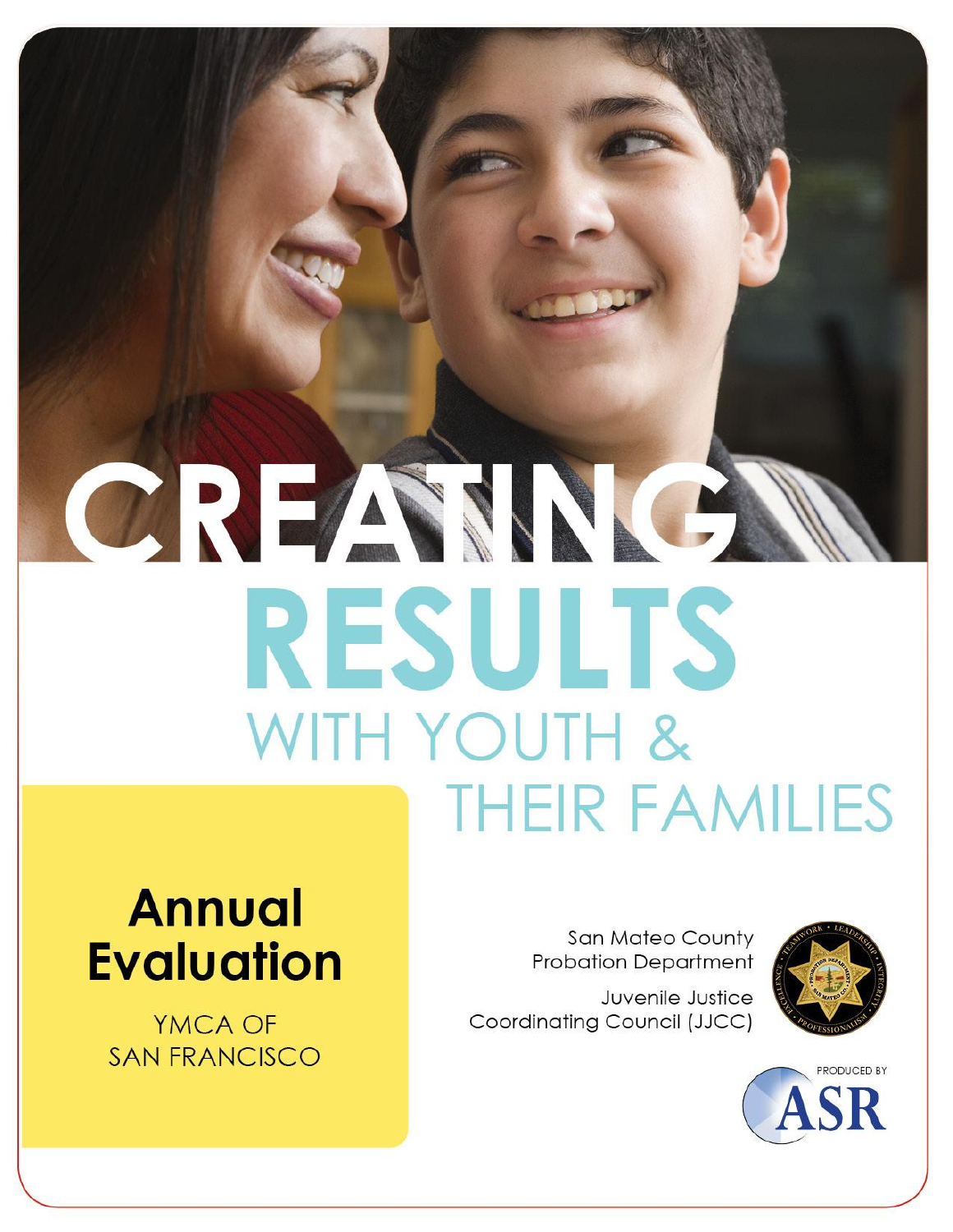# CREAMA **RESULTS** WITH YOUTH & **THEIR FAMILIES**

## **Annual Evaluation**

YMCA OF **SAN FRANCISCO** 

**San Mateo County Probation Department** 

Juvenile Justice Coordinating Council (JJCC)



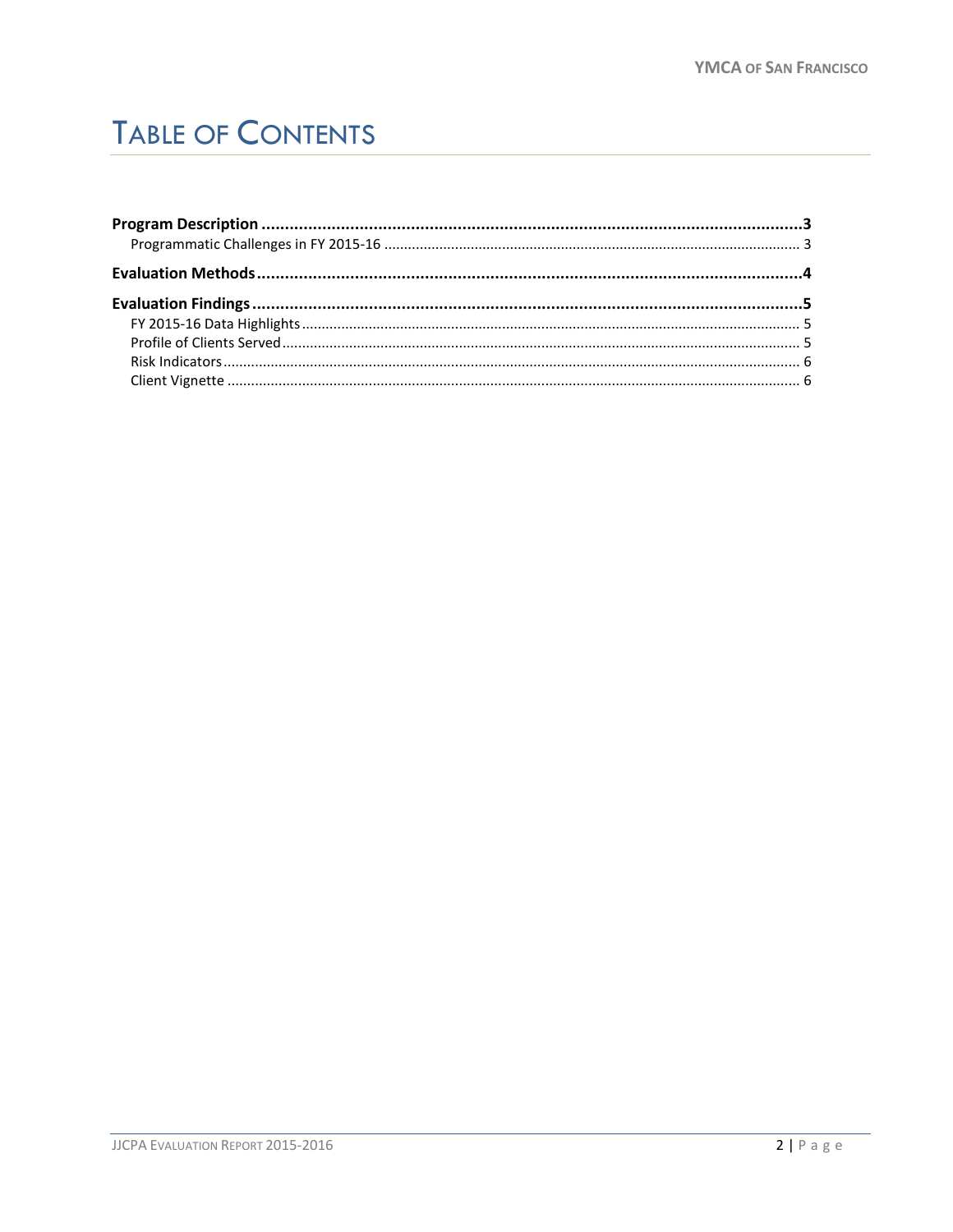## **TABLE OF CONTENTS**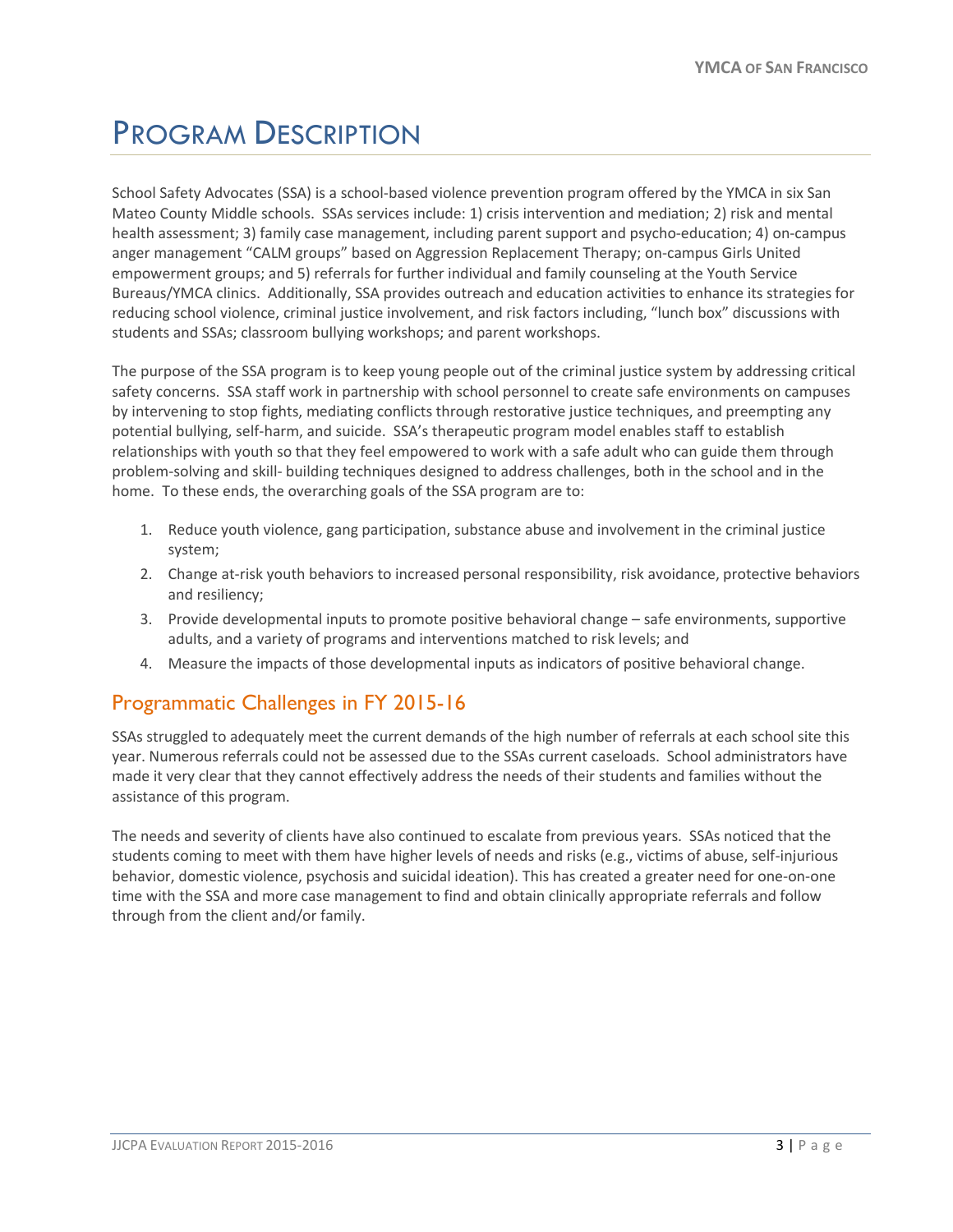## <span id="page-2-0"></span>PROGRAM DESCRIPTION

School Safety Advocates (SSA) is a school-based violence prevention program offered by the YMCA in six San Mateo County Middle schools. SSAs services include: 1) crisis intervention and mediation; 2) risk and mental health assessment; 3) family case management, including parent support and psycho-education; 4) on-campus anger management "CALM groups" based on Aggression Replacement Therapy; on-campus Girls United empowerment groups; and 5) referrals for further individual and family counseling at the Youth Service Bureaus/YMCA clinics. Additionally, SSA provides outreach and education activities to enhance its strategies for reducing school violence, criminal justice involvement, and risk factors including, "lunch box" discussions with students and SSAs; classroom bullying workshops; and parent workshops.

The purpose of the SSA program is to keep young people out of the criminal justice system by addressing critical safety concerns. SSA staff work in partnership with school personnel to create safe environments on campuses by intervening to stop fights, mediating conflicts through restorative justice techniques, and preempting any potential bullying, self-harm, and suicide. SSA's therapeutic program model enables staff to establish relationships with youth so that they feel empowered to work with a safe adult who can guide them through problem-solving and skill- building techniques designed to address challenges, both in the school and in the home. To these ends, the overarching goals of the SSA program are to:

- 1. Reduce youth violence, gang participation, substance abuse and involvement in the criminal justice system;
- 2. Change at-risk youth behaviors to increased personal responsibility, risk avoidance, protective behaviors and resiliency;
- 3. Provide developmental inputs to promote positive behavioral change safe environments, supportive adults, and a variety of programs and interventions matched to risk levels; and
- 4. Measure the impacts of those developmental inputs as indicators of positive behavioral change.

#### <span id="page-2-1"></span>Programmatic Challenges in FY 2015-16

SSAs struggled to adequately meet the current demands of the high number of referrals at each school site this year. Numerous referrals could not be assessed due to the SSAs current caseloads. School administrators have made it very clear that they cannot effectively address the needs of their students and families without the assistance of this program.

The needs and severity of clients have also continued to escalate from previous years. SSAs noticed that the students coming to meet with them have higher levels of needs and risks (e.g., victims of abuse, self-injurious behavior, domestic violence, psychosis and suicidal ideation). This has created a greater need for one-on-one time with the SSA and more case management to find and obtain clinically appropriate referrals and follow through from the client and/or family.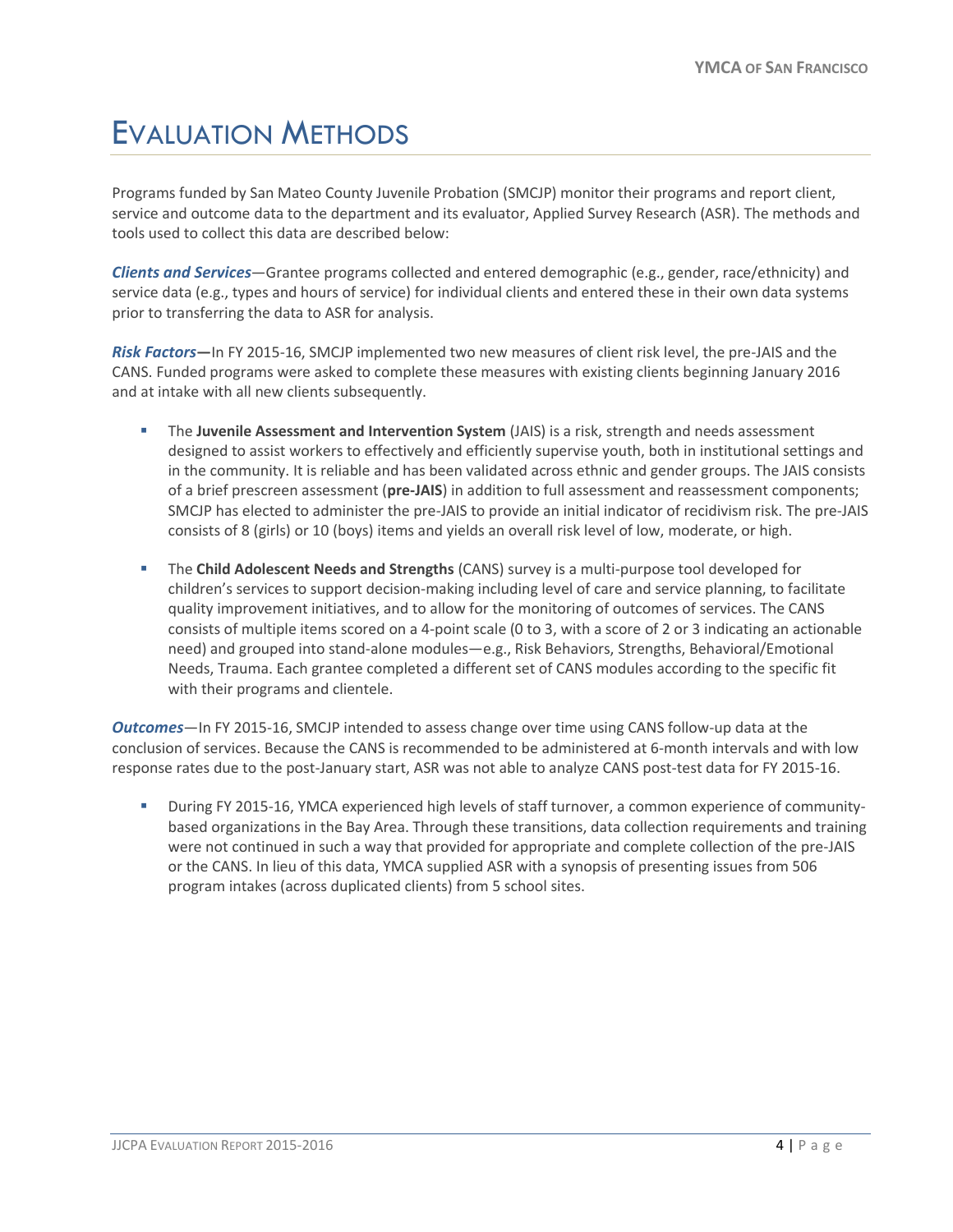## <span id="page-3-0"></span>EVALUATION METHODS

Programs funded by San Mateo County Juvenile Probation (SMCJP) monitor their programs and report client, service and outcome data to the department and its evaluator, Applied Survey Research (ASR). The methods and tools used to collect this data are described below:

*Clients and Services*—Grantee programs collected and entered demographic (e.g., gender, race/ethnicity) and service data (e.g., types and hours of service) for individual clients and entered these in their own data systems prior to transferring the data to ASR for analysis.

*Risk Factors***—**In FY 2015-16, SMCJP implemented two new measures of client risk level, the pre-JAIS and the CANS. Funded programs were asked to complete these measures with existing clients beginning January 2016 and at intake with all new clients subsequently.

- The **Juvenile Assessment and Intervention System** (JAIS) is a risk, strength and needs assessment designed to assist workers to effectively and efficiently supervise youth, both in institutional settings and in the community. It is reliable and has been validated across ethnic and gender groups. The JAIS consists of a brief prescreen assessment (**pre-JAIS**) in addition to full assessment and reassessment components; SMCJP has elected to administer the pre-JAIS to provide an initial indicator of recidivism risk. The pre-JAIS consists of 8 (girls) or 10 (boys) items and yields an overall risk level of low, moderate, or high.
- The **Child Adolescent Needs and Strengths** (CANS) survey is a multi-purpose tool developed for children's services to support decision-making including level of care and service planning, to facilitate quality improvement initiatives, and to allow for the monitoring of outcomes of services. The CANS consists of multiple items scored on a 4-point scale (0 to 3, with a score of 2 or 3 indicating an actionable need) and grouped into stand-alone modules—e.g., Risk Behaviors, Strengths, Behavioral/Emotional Needs, Trauma. Each grantee completed a different set of CANS modules according to the specific fit with their programs and clientele.

*Outcomes*—In FY 2015-16, SMCJP intended to assess change over time using CANS follow-up data at the conclusion of services. Because the CANS is recommended to be administered at 6-month intervals and with low response rates due to the post-January start, ASR was not able to analyze CANS post-test data for FY 2015-16.

 During FY 2015-16, YMCA experienced high levels of staff turnover, a common experience of communitybased organizations in the Bay Area. Through these transitions, data collection requirements and training were not continued in such a way that provided for appropriate and complete collection of the pre-JAIS or the CANS. In lieu of this data, YMCA supplied ASR with a synopsis of presenting issues from 506 program intakes (across duplicated clients) from 5 school sites.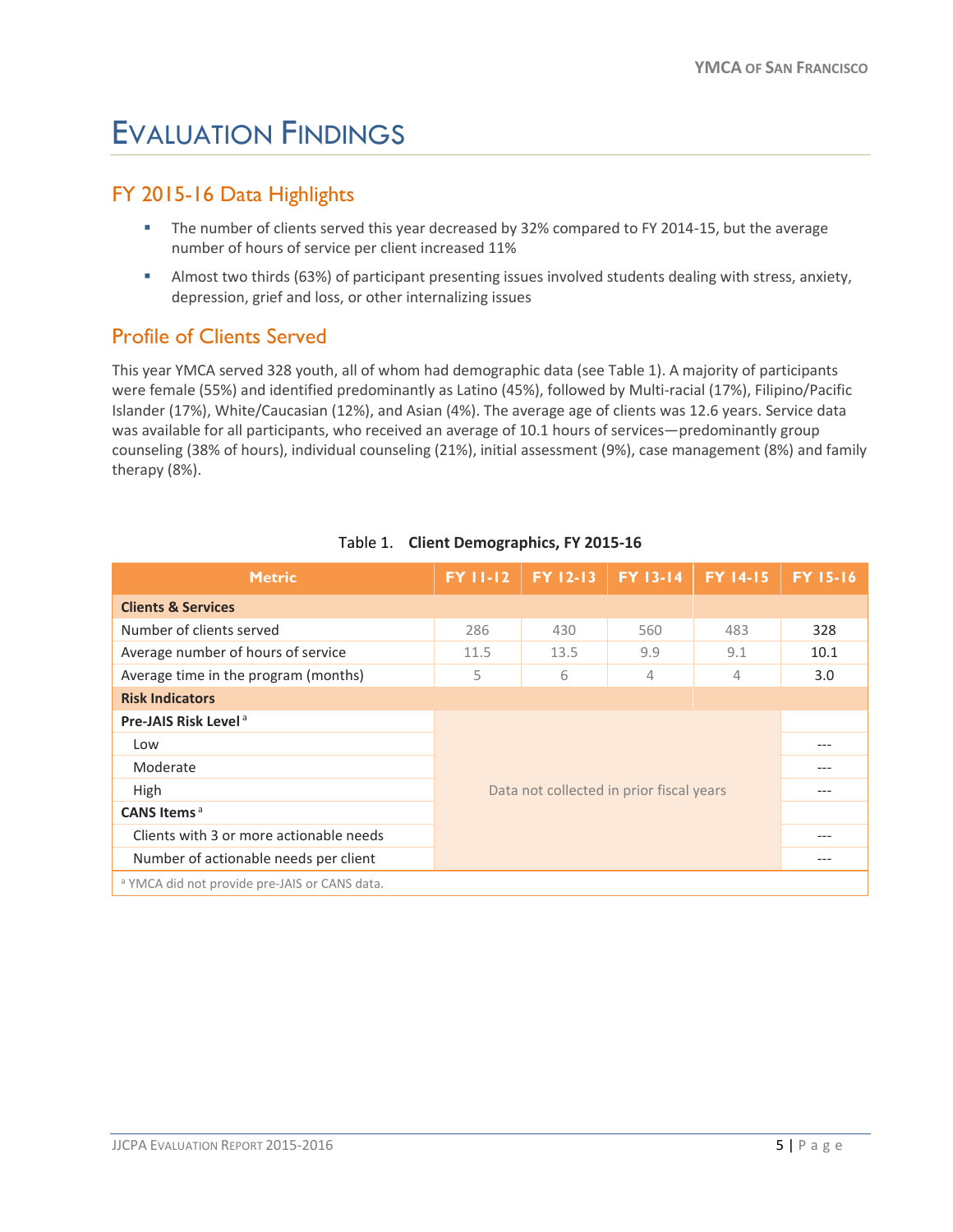## <span id="page-4-0"></span>EVALUATION FINDINGS

#### <span id="page-4-1"></span>FY 2015-16 Data Highlights

- The number of clients served this year decreased by 32% compared to FY 2014-15, but the average number of hours of service per client increased 11%
- Almost two thirds (63%) of participant presenting issues involved students dealing with stress, anxiety, depression, grief and loss, or other internalizing issues

#### <span id="page-4-2"></span>Profile of Clients Served

This year YMCA served 328 youth, all of whom had demographic data (see Table 1). A majority of participants were female (55%) and identified predominantly as Latino (45%), followed by Multi-racial (17%), Filipino/Pacific Islander (17%), White/Caucasian (12%), and Asian (4%). The average age of clients was 12.6 years. Service data was available for all participants, who received an average of 10.1 hours of services—predominantly group counseling (38% of hours), individual counseling (21%), initial assessment (9%), case management (8%) and family therapy (8%).

| <b>Metric</b>                                            | <b>FY 11-12</b>                          | FY 12-13 | <b>FY 13-14</b> | <b>FY 14-15</b> | <b>FY 15-16</b> |  |  |
|----------------------------------------------------------|------------------------------------------|----------|-----------------|-----------------|-----------------|--|--|
| <b>Clients &amp; Services</b>                            |                                          |          |                 |                 |                 |  |  |
| Number of clients served                                 | 286                                      | 430      | 560             | 483             | 328             |  |  |
| Average number of hours of service                       | 11.5                                     | 13.5     | 9.9             | 9.1             | 10.1            |  |  |
| Average time in the program (months)                     | 5                                        | 6        | 4               | 4               | 3.0             |  |  |
| <b>Risk Indicators</b>                                   |                                          |          |                 |                 |                 |  |  |
| <b>Pre-JAIS Risk Level<sup>a</sup></b>                   | Data not collected in prior fiscal years |          |                 |                 |                 |  |  |
| Low                                                      |                                          |          |                 |                 | ---             |  |  |
| Moderate                                                 |                                          |          |                 |                 | ---             |  |  |
| High                                                     |                                          |          |                 |                 |                 |  |  |
| CANS Items <sup>a</sup>                                  |                                          |          |                 |                 |                 |  |  |
| Clients with 3 or more actionable needs                  | ---                                      |          |                 |                 |                 |  |  |
| Number of actionable needs per client                    |                                          |          |                 |                 |                 |  |  |
| <sup>a</sup> YMCA did not provide pre-JAIS or CANS data. |                                          |          |                 |                 |                 |  |  |

#### Table 1. **Client Demographics, FY 2015-16**